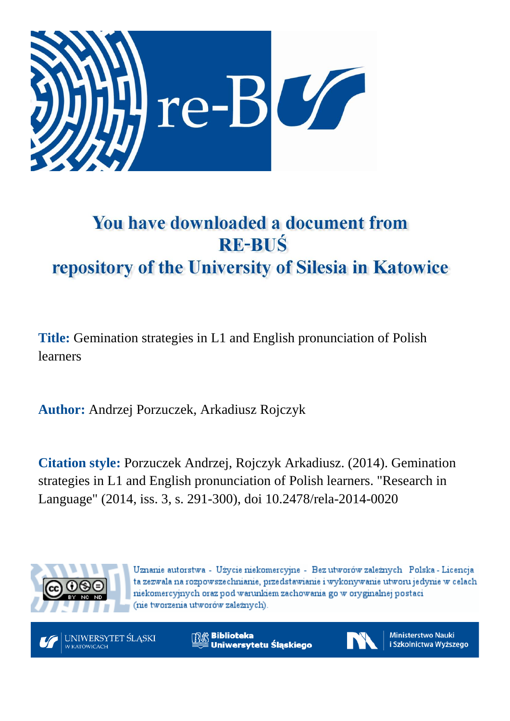

# You have downloaded a document from **RE-BUŚ** repository of the University of Silesia in Katowice

**Title:** Gemination strategies in L1 and English pronunciation of Polish learners

**Author:** Andrzej Porzuczek, Arkadiusz Rojczyk

**Citation style:** Porzuczek Andrzej, Rojczyk Arkadiusz. (2014). Gemination strategies in L1 and English pronunciation of Polish learners. "Research in Language" (2014, iss. 3, s. 291-300), doi 10.2478/rela-2014-0020



Uznanie autorstwa - Użycie niekomercyjne - Bez utworów zależnych Polska - Licencja ta zezwala na rozpowszechnianie, przedstawianie i wykonywanie utworu jedynie w celach niekomercyjnych oraz pod warunkiem zachowania go w oryginalnej postaci (nie tworzenia utworów zależnych).



**Biblioteka** Uniwersytetu Śląskiego



**Ministerstwo Nauki** i Szkolnictwa Wyższego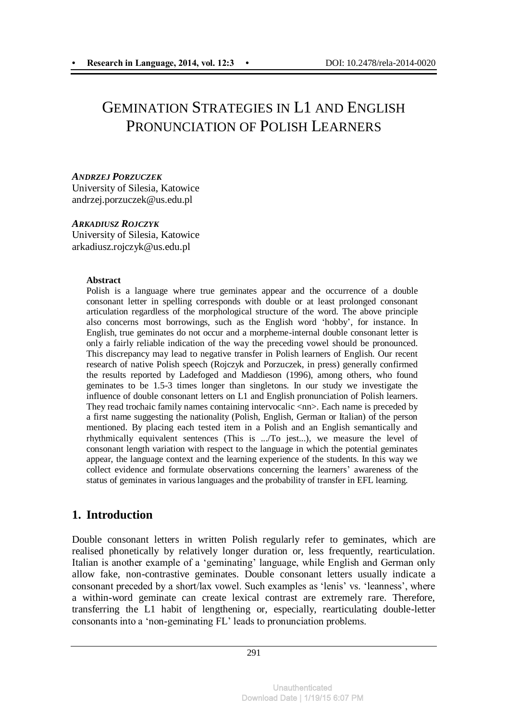# GEMINATION STRATEGIES IN L1 AND ENGLISH PRONUNCIATION OF POLISH LEARNERS

#### *ANDRZEJ PORZUCZEK*

University of Silesia, Katowice andrzej.porzuczek@us.edu.pl

#### *ARKADIUSZ ROJCZYK*

University of Silesia, Katowice arkadiusz.rojczyk@us.edu.pl

#### **Abstract**

Polish is a language where true geminates appear and the occurrence of a double consonant letter in spelling corresponds with double or at least prolonged consonant articulation regardless of the morphological structure of the word. The above principle also concerns most borrowings, such as the English word 'hobby', for instance. In English, true geminates do not occur and a morpheme-internal double consonant letter is only a fairly reliable indication of the way the preceding vowel should be pronounced. This discrepancy may lead to negative transfer in Polish learners of English. Our recent research of native Polish speech (Rojczyk and Porzuczek, in press) generally confirmed the results reported by Ladefoged and Maddieson (1996), among others, who found geminates to be 1.5-3 times longer than singletons. In our study we investigate the influence of double consonant letters on L1 and English pronunciation of Polish learners. They read trochaic family names containing intervocalic <nn>. Each name is preceded by a first name suggesting the nationality (Polish, English, German or Italian) of the person mentioned. By placing each tested item in a Polish and an English semantically and rhythmically equivalent sentences (This is .../To jest...), we measure the level of consonant length variation with respect to the language in which the potential geminates appear, the language context and the learning experience of the students. In this way we collect evidence and formulate observations concerning the learners' awareness of the status of geminates in various languages and the probability of transfer in EFL learning.

# **1. Introduction**

Double consonant letters in written Polish regularly refer to geminates, which are realised phonetically by relatively longer duration or, less frequently, rearticulation. Italian is another example of a 'geminating' language, while English and German only allow fake, non-contrastive geminates. Double consonant letters usually indicate a consonant preceded by a short/lax vowel. Such examples as 'lenis' vs. 'leanness', where a within-word geminate can create lexical contrast are extremely rare. Therefore, transferring the L1 habit of lengthening or, especially, rearticulating double-letter consonants into a 'non-geminating FL' leads to pronunciation problems.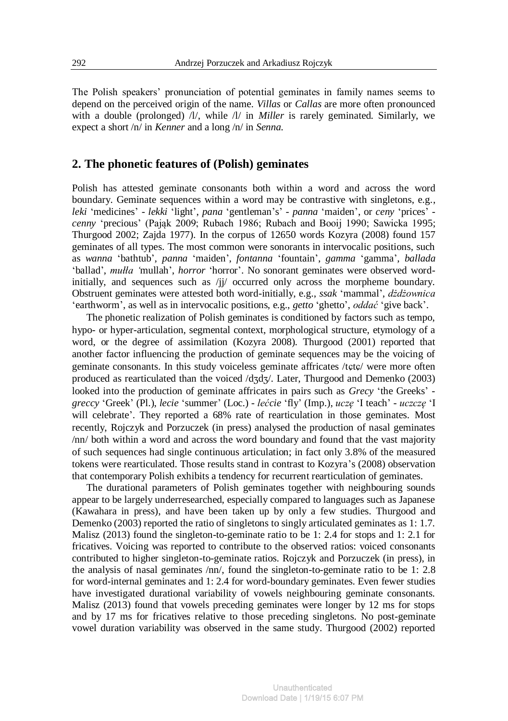The Polish speakers' pronunciation of potential geminates in family names seems to depend on the perceived origin of the name. *Villas* or *Callas* are more often pronounced with a double (prolonged) /l/, while /l/ in *Miller* is rarely geminated. Similarly, we expect a short /n/ in *Kenner* and a long /n/ in *Senna*.

# **2. The phonetic features of (Polish) geminates**

Polish has attested geminate consonants both within a word and across the word boundary. Geminate sequences within a word may be contrastive with singletons, e.g., *leki* 'medicines' - *lekki* 'light', *pana* 'gentleman's' - *panna* 'maiden', or *ceny* 'prices' *cenny* 'precious' (Pająk 2009; Rubach 1986; Rubach and Booij 1990; Sawicka 1995; Thurgood 2002; Zajda 1977). In the corpus of 12650 words Kozyra (2008) found 157 geminates of all types. The most common were sonorants in intervocalic positions, such as *wanna* 'bathtub', *panna* 'maiden', *fontanna* 'fountain', *gamma* 'gamma', *ballada*  'ballad', *mułła '*mullah', *horror* 'horror'. No sonorant geminates were observed wordinitially, and sequences such as /jj/ occurred only across the morpheme boundary. Obstruent geminates were attested both word-initially, e.g., *ssak* 'mammal', *dżdżownica*  'earthworm', as well as in intervocalic positions, e.g., *getto* 'ghetto', *oddać* 'give back'.

The phonetic realization of Polish geminates is conditioned by factors such as tempo, hypo- or hyper-articulation, segmental context, morphological structure, etymology of a word, or the degree of assimilation (Kozyra 2008). Thurgood (2001) reported that another factor influencing the production of geminate sequences may be the voicing of geminate consonants. In this study voiceless geminate affricates /tete/ were more often produced as rearticulated than the voiced /dʒdʒ/. Later, Thurgood and Demenko (2003) looked into the production of geminate affricates in pairs such as *Grecy* 'the Greeks' *greccy* 'Greek' (Pl.), *lecie* 'summer' (Loc.) - *lećcie* 'fly' (Imp.), *uczę* 'I teach' - *uczczę* 'I will celebrate'. They reported a 68% rate of rearticulation in those geminates. Most recently, Rojczyk and Porzuczek (in press) analysed the production of nasal geminates /nn/ both within a word and across the word boundary and found that the vast majority of such sequences had single continuous articulation; in fact only 3.8% of the measured tokens were rearticulated. Those results stand in contrast to Kozyra's (2008) observation that contemporary Polish exhibits a tendency for recurrent rearticulation of geminates.

The durational parameters of Polish geminates together with neighbouring sounds appear to be largely underresearched, especially compared to languages such as Japanese (Kawahara in press), and have been taken up by only a few studies. Thurgood and Demenko (2003) reported the ratio of singletons to singly articulated geminates as 1: 1.7. Malisz (2013) found the singleton-to-geminate ratio to be 1: 2.4 for stops and 1: 2.1 for fricatives. Voicing was reported to contribute to the observed ratios: voiced consonants contributed to higher singleton-to-geminate ratios. Rojczyk and Porzuczek (in press), in the analysis of nasal geminates /nn/, found the singleton-to-geminate ratio to be 1: 2.8 for word-internal geminates and 1: 2.4 for word-boundary geminates. Even fewer studies have investigated durational variability of vowels neighbouring geminate consonants. Malisz (2013) found that vowels preceding geminates were longer by 12 ms for stops and by 17 ms for fricatives relative to those preceding singletons. No post-geminate vowel duration variability was observed in the same study. Thurgood (2002) reported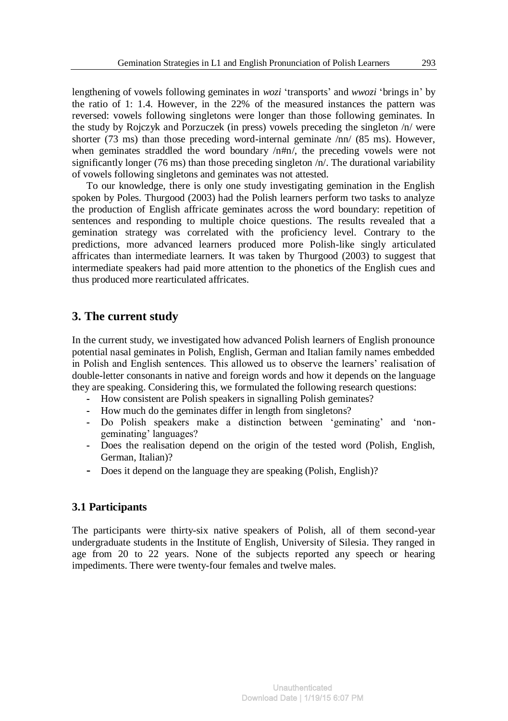lengthening of vowels following geminates in *wozi* 'transports' and *wwozi* 'brings in' by the ratio of 1: 1.4. However, in the 22% of the measured instances the pattern was reversed: vowels following singletons were longer than those following geminates. In the study by Rojczyk and Porzuczek (in press) vowels preceding the singleton /n/ were shorter (73 ms) than those preceding word-internal geminate /nn/ (85 ms). However, when geminates straddled the word boundary  $/n\#n/$ , the preceding vowels were not significantly longer (76 ms) than those preceding singleton  $/n/$ . The durational variability of vowels following singletons and geminates was not attested.

To our knowledge, there is only one study investigating gemination in the English spoken by Poles. Thurgood (2003) had the Polish learners perform two tasks to analyze the production of English affricate geminates across the word boundary: repetition of sentences and responding to multiple choice questions. The results revealed that a gemination strategy was correlated with the proficiency level. Contrary to the predictions, more advanced learners produced more Polish-like singly articulated affricates than intermediate learners. It was taken by Thurgood (2003) to suggest that intermediate speakers had paid more attention to the phonetics of the English cues and thus produced more rearticulated affricates.

# **3. The current study**

In the current study, we investigated how advanced Polish learners of English pronounce potential nasal geminates in Polish, English, German and Italian family names embedded in Polish and English sentences. This allowed us to observe the learners' realisation of double-letter consonants in native and foreign words and how it depends on the language they are speaking. Considering this, we formulated the following research questions:

- **-** How consistent are Polish speakers in signalling Polish geminates?
- **-** How much do the geminates differ in length from singletons?
- **-** Do Polish speakers make a distinction between 'geminating' and 'nongeminating' languages?
- **-** Does the realisation depend on the origin of the tested word (Polish, English, German, Italian)?
- **-** Does it depend on the language they are speaking (Polish, English)?

# **3.1 Participants**

The participants were thirty-six native speakers of Polish, all of them second-year undergraduate students in the Institute of English, University of Silesia. They ranged in age from 20 to 22 years. None of the subjects reported any speech or hearing impediments. There were twenty-four females and twelve males.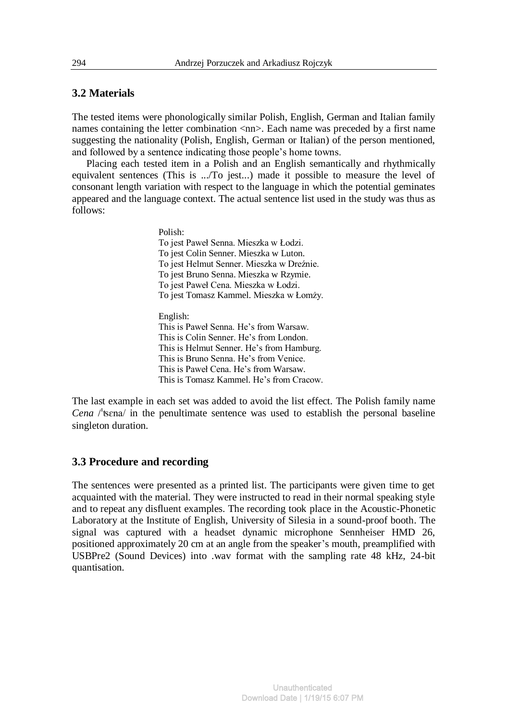#### **3.2 Materials**

The tested items were phonologically similar Polish, English, German and Italian family names containing the letter combination  $\langle$ nn>. Each name was preceded by a first name suggesting the nationality (Polish, English, German or Italian) of the person mentioned, and followed by a sentence indicating those people's home towns.

Placing each tested item in a Polish and an English semantically and rhythmically equivalent sentences (This is .../To jest...) made it possible to measure the level of consonant length variation with respect to the language in which the potential geminates appeared and the language context. The actual sentence list used in the study was thus as follows:

> Polish: To jest Paweł Senna. Mieszka w Łodzi. To jest Colin Senner. Mieszka w Luton. To jest Helmut Senner. Mieszka w Dreźnie. To jest Bruno Senna. Mieszka w Rzymie. To jest Paweł Cena. Mieszka w Łodzi. To jest Tomasz Kammel. Mieszka w Łomży. English: This is Paweł Senna. He's from Warsaw. This is Colin Senner. He's from London. This is Helmut Senner. He's from Hamburg. This is Bruno Senna. He's from Venice. This is Paweł Cena. He's from Warsaw. This is Tomasz Kammel. He's from Cracow.

The last example in each set was added to avoid the list effect. The Polish family name *Cena* /ʦɛna/ in the penultimate sentence was used to establish the personal baseline singleton duration.

#### **3.3 Procedure and recording**

The sentences were presented as a printed list. The participants were given time to get acquainted with the material. They were instructed to read in their normal speaking style and to repeat any disfluent examples. The recording took place in the Acoustic-Phonetic Laboratory at the Institute of English, University of Silesia in a sound-proof booth. The signal was captured with a headset dynamic microphone Sennheiser HMD 26, positioned approximately 20 cm at an angle from the speaker's mouth, preamplified with USBPre2 (Sound Devices) into .wav format with the sampling rate 48 kHz, 24-bit quantisation.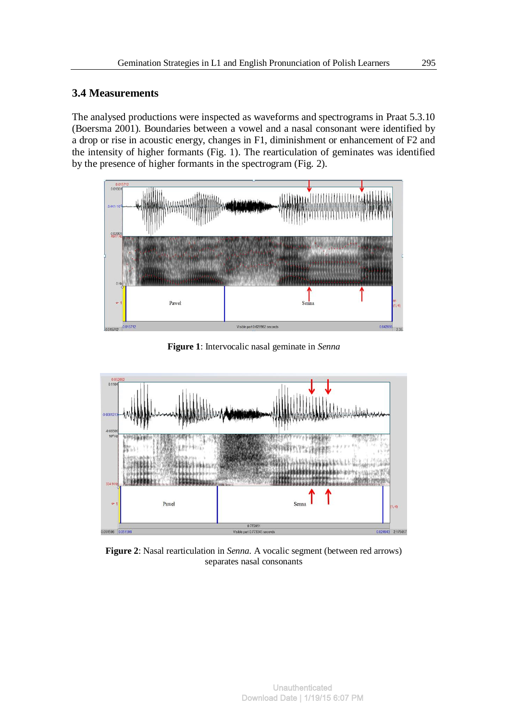# **3.4 Measurements**

The analysed productions were inspected as waveforms and spectrograms in Praat 5.3.10 (Boersma 2001). Boundaries between a vowel and a nasal consonant were identified by a drop or rise in acoustic energy, changes in F1, diminishment or enhancement of F2 and the intensity of higher formants (Fig. 1). The rearticulation of geminates was identified by the presence of higher formants in the spectrogram (Fig. 2).



**Figure 1**: Intervocalic nasal geminate in *Senna*



**Figure 2**: Nasal rearticulation in *Senna.* A vocalic segment (between red arrows) separates nasal consonants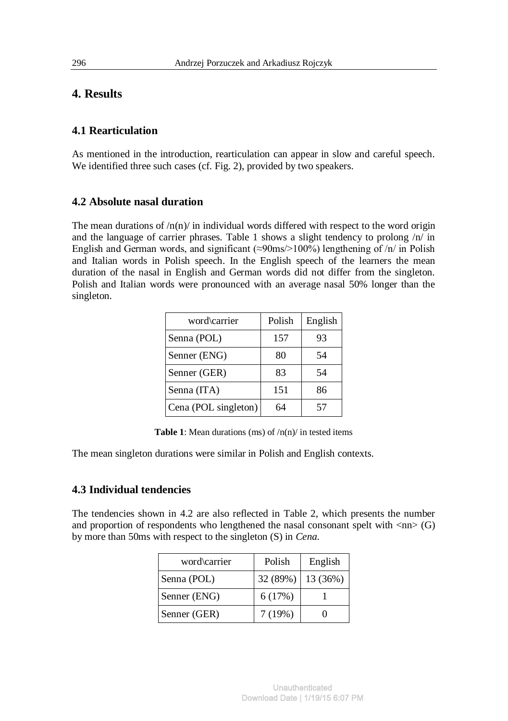# **4. Results**

# **4.1 Rearticulation**

As mentioned in the introduction, rearticulation can appear in slow and careful speech. We identified three such cases (cf. Fig. 2), provided by two speakers.

#### **4.2 Absolute nasal duration**

The mean durations of  $/n(n)$  in individual words differed with respect to the word origin and the language of carrier phrases. Table 1 shows a slight tendency to prolong /n/ in English and German words, and significant ( $\approx$ 90ms/>100%) lengthening of /n/ in Polish and Italian words in Polish speech. In the English speech of the learners the mean duration of the nasal in English and German words did not differ from the singleton. Polish and Italian words were pronounced with an average nasal 50% longer than the singleton.

| word\carrier         | Polish | English |
|----------------------|--------|---------|
| Senna (POL)          | 157    | 93      |
| Senner (ENG)         | 80     | 54      |
| Senner (GER)         | 83     | 54      |
| Senna (ITA)          | 151    | 86      |
| Cena (POL singleton) | 64     | 57      |

**Table 1**: Mean durations (ms) of  $/n(n)$  in tested items

The mean singleton durations were similar in Polish and English contexts.

# **4.3 Individual tendencies**

The tendencies shown in 4.2 are also reflected in Table 2, which presents the number and proportion of respondents who lengthened the nasal consonant spelt with  $\langle nn \rangle$  (G) by more than 50ms with respect to the singleton (S) in *Cena.* 

| word\carrier | Polish   | English  |
|--------------|----------|----------|
| Senna (POL)  | 32 (89%) | 13 (36%) |
| Senner (ENG) | 6(17%)   |          |
| Senner (GER) | 7(19%)   |          |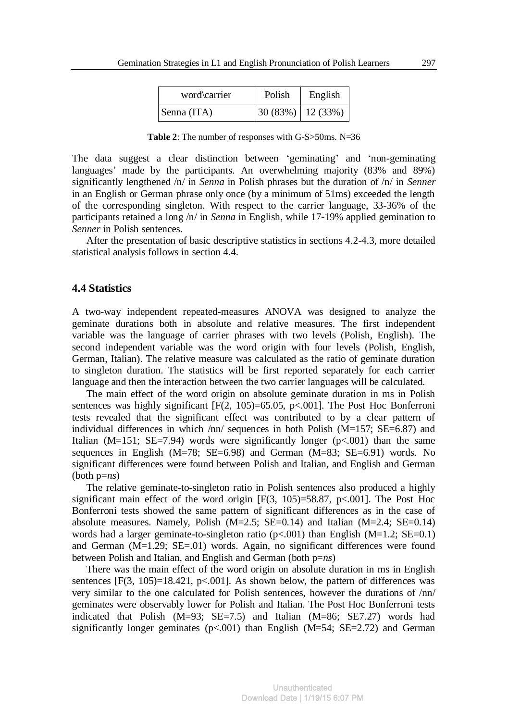| word\carrier | Polish               | English |
|--------------|----------------------|---------|
| Senna (ITA)  | $30(83%)$   12 (33%) |         |

**Table 2**: The number of responses with G-S>50ms. N=36

The data suggest a clear distinction between 'geminating' and 'non-geminating languages' made by the participants. An overwhelming majority (83% and 89%) significantly lengthened /n/ in *Senna* in Polish phrases but the duration of /n/ in *Senner*  in an English or German phrase only once (by a minimum of 51ms) exceeded the length of the corresponding singleton. With respect to the carrier language, 33-36% of the participants retained a long /n/ in *Senna* in English, while 17-19% applied gemination to *Senner* in Polish sentences.

After the presentation of basic descriptive statistics in sections 4.2-4.3, more detailed statistical analysis follows in section 4.4.

#### **4.4 Statistics**

A two-way independent repeated-measures ANOVA was designed to analyze the geminate durations both in absolute and relative measures. The first independent variable was the language of carrier phrases with two levels (Polish, English). The second independent variable was the word origin with four levels (Polish, English, German, Italian). The relative measure was calculated as the ratio of geminate duration to singleton duration. The statistics will be first reported separately for each carrier language and then the interaction between the two carrier languages will be calculated.

The main effect of the word origin on absolute geminate duration in ms in Polish sentences was highly significant  $[F(2, 105)=65.05, p<0.01]$ . The Post Hoc Bonferroni tests revealed that the significant effect was contributed to by a clear pattern of individual differences in which  $/nn/$  sequences in both Polish (M=157; SE=6.87) and Italian ( $M=151$ ;  $SE=7.94$ ) words were significantly longer ( $p<.001$ ) than the same sequences in English ( $M=78$ ;  $SE=6.98$ ) and German ( $M=83$ ;  $SE=6.91$ ) words. No significant differences were found between Polish and Italian, and English and German (both p=*ns*)

The relative geminate-to-singleton ratio in Polish sentences also produced a highly significant main effect of the word origin  $[F(3, 105)=58.87, p<0.001]$ . The Post Hoc Bonferroni tests showed the same pattern of significant differences as in the case of absolute measures. Namely, Polish  $(M=2.5; SE=0.14)$  and Italian  $(M=2.4; SE=0.14)$ words had a larger geminate-to-singleton ratio  $(p<.001)$  than English  $(M=1.2; SE=0.1)$ and German (M=1.29; SE=.01) words. Again, no significant differences were found between Polish and Italian, and English and German (both p=*ns*)

There was the main effect of the word origin on absolute duration in ms in English sentences  $[F(3, 105)=18.421, p<0.001]$ . As shown below, the pattern of differences was very similar to the one calculated for Polish sentences, however the durations of /nn/ geminates were observably lower for Polish and Italian. The Post Hoc Bonferroni tests indicated that Polish (M=93; SE=7.5) and Italian (M=86; SE7.27) words had significantly longer geminates ( $p$ <.001) than English (M=54; SE=2.72) and German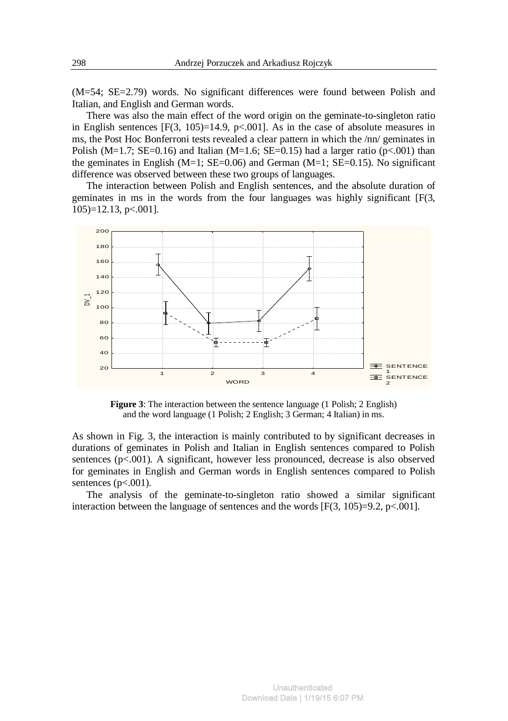(M=54; SE=2.79) words. No significant differences were found between Polish and Italian, and English and German words.

There was also the main effect of the word origin on the geminate-to-singleton ratio in English sentences  $[F(3, 105)=14.9, p<.001]$ . As in the case of absolute measures in ms, the Post Hoc Bonferroni tests revealed a clear pattern in which the /nn/ geminates in Polish (M=1.7; SE=0.16) and Italian (M=1.6; SE=0.15) had a larger ratio (p<.001) than the geminates in English (M=1; SE=0.06) and German (M=1; SE=0.15). No significant difference was observed between these two groups of languages.

The interaction between Polish and English sentences, and the absolute duration of geminates in ms in the words from the four languages was highly significant [F(3, 105)=12.13, p<.001].



**Figure 3**: The interaction between the sentence language (1 Polish; 2 English) and the word language (1 Polish; 2 English; 3 German; 4 Italian) in ms.

As shown in Fig. 3, the interaction is mainly contributed to by significant decreases in durations of geminates in Polish and Italian in English sentences compared to Polish sentences (p<.001). A significant, however less pronounced, decrease is also observed for geminates in English and German words in English sentences compared to Polish sentences  $(p<.001)$ .

The analysis of the geminate-to-singleton ratio showed a similar significant interaction between the language of sentences and the words  $[F(3, 105)=9.2, p<.001]$ .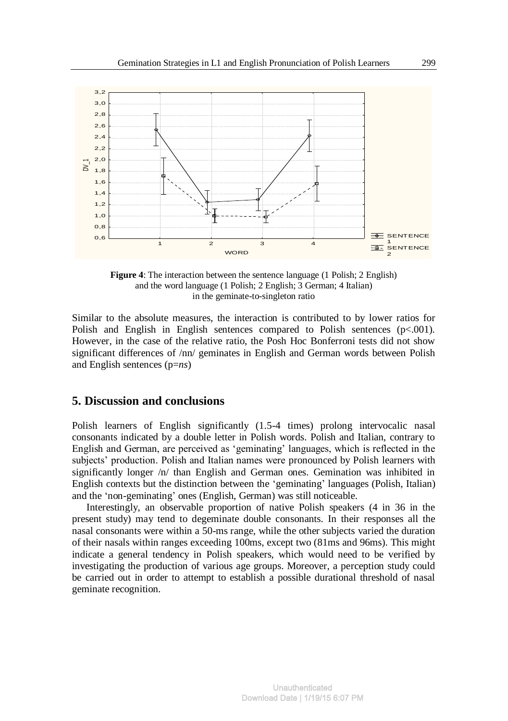

**Figure 4**: The interaction between the sentence language (1 Polish; 2 English) and the word language (1 Polish; 2 English; 3 German; 4 Italian) in the geminate-to-singleton ratio

Similar to the absolute measures, the interaction is contributed to by lower ratios for Polish and English in English sentences compared to Polish sentences  $(p<.001)$ . However, in the case of the relative ratio, the Posh Hoc Bonferroni tests did not show significant differences of /nn/ geminates in English and German words between Polish and English sentences (p=*ns*)

# **5. Discussion and conclusions**

Polish learners of English significantly (1.5-4 times) prolong intervocalic nasal consonants indicated by a double letter in Polish words. Polish and Italian, contrary to English and German, are perceived as 'geminating' languages, which is reflected in the subjects' production. Polish and Italian names were pronounced by Polish learners with significantly longer /n/ than English and German ones. Gemination was inhibited in English contexts but the distinction between the 'geminating' languages (Polish, Italian) and the 'non-geminating' ones (English, German) was still noticeable.

Interestingly, an observable proportion of native Polish speakers (4 in 36 in the present study) may tend to degeminate double consonants. In their responses all the nasal consonants were within a 50-ms range, while the other subjects varied the duration of their nasals within ranges exceeding 100ms, except two (81ms and 96ms). This might indicate a general tendency in Polish speakers, which would need to be verified by investigating the production of various age groups. Moreover, a perception study could be carried out in order to attempt to establish a possible durational threshold of nasal geminate recognition.